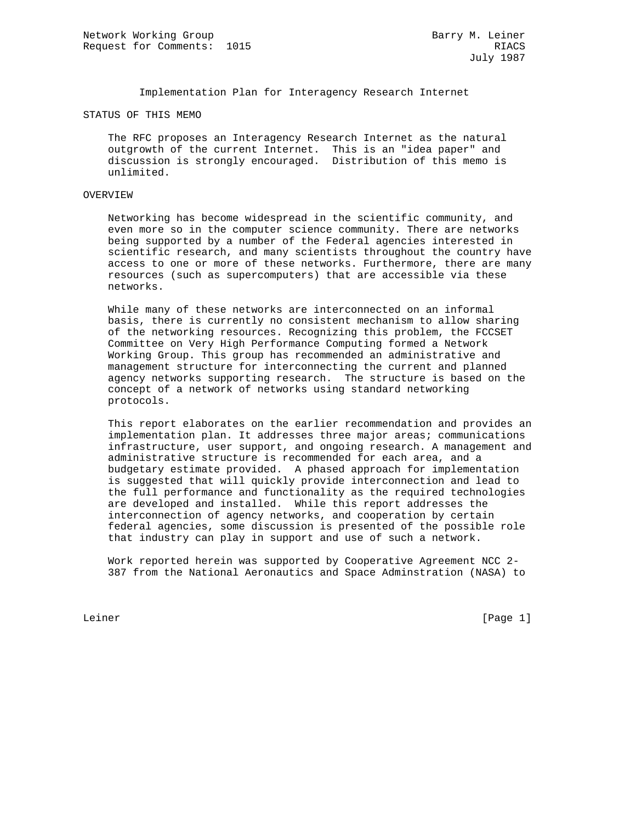Implementation Plan for Interagency Research Internet

### STATUS OF THIS MEMO

 The RFC proposes an Interagency Research Internet as the natural outgrowth of the current Internet. This is an "idea paper" and discussion is strongly encouraged. Distribution of this memo is unlimited.

# OVERVIEW

 Networking has become widespread in the scientific community, and even more so in the computer science community. There are networks being supported by a number of the Federal agencies interested in scientific research, and many scientists throughout the country have access to one or more of these networks. Furthermore, there are many resources (such as supercomputers) that are accessible via these networks.

 While many of these networks are interconnected on an informal basis, there is currently no consistent mechanism to allow sharing of the networking resources. Recognizing this problem, the FCCSET Committee on Very High Performance Computing formed a Network Working Group. This group has recommended an administrative and management structure for interconnecting the current and planned agency networks supporting research. The structure is based on the concept of a network of networks using standard networking protocols.

 This report elaborates on the earlier recommendation and provides an implementation plan. It addresses three major areas; communications infrastructure, user support, and ongoing research. A management and administrative structure is recommended for each area, and a budgetary estimate provided. A phased approach for implementation is suggested that will quickly provide interconnection and lead to the full performance and functionality as the required technologies are developed and installed. While this report addresses the interconnection of agency networks, and cooperation by certain federal agencies, some discussion is presented of the possible role that industry can play in support and use of such a network.

 Work reported herein was supported by Cooperative Agreement NCC 2- 387 from the National Aeronautics and Space Adminstration (NASA) to

Leiner [Page 1]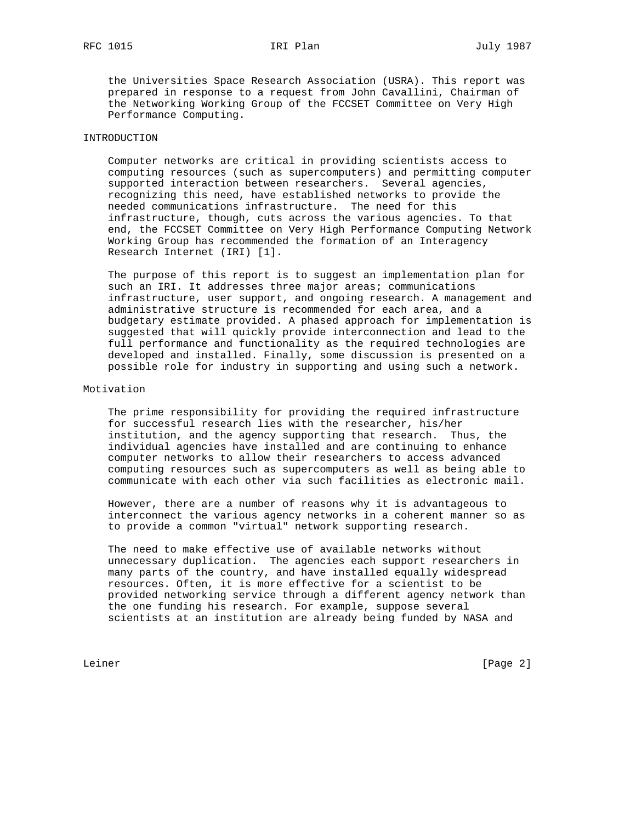the Universities Space Research Association (USRA). This report was prepared in response to a request from John Cavallini, Chairman of the Networking Working Group of the FCCSET Committee on Very High Performance Computing.

# INTRODUCTION

 Computer networks are critical in providing scientists access to computing resources (such as supercomputers) and permitting computer supported interaction between researchers. Several agencies, recognizing this need, have established networks to provide the needed communications infrastructure. The need for this infrastructure, though, cuts across the various agencies. To that end, the FCCSET Committee on Very High Performance Computing Network Working Group has recommended the formation of an Interagency Research Internet (IRI) [1].

 The purpose of this report is to suggest an implementation plan for such an IRI. It addresses three major areas; communications infrastructure, user support, and ongoing research. A management and administrative structure is recommended for each area, and a budgetary estimate provided. A phased approach for implementation is suggested that will quickly provide interconnection and lead to the full performance and functionality as the required technologies are developed and installed. Finally, some discussion is presented on a possible role for industry in supporting and using such a network.

# Motivation

 The prime responsibility for providing the required infrastructure for successful research lies with the researcher, his/her institution, and the agency supporting that research. Thus, the individual agencies have installed and are continuing to enhance computer networks to allow their researchers to access advanced computing resources such as supercomputers as well as being able to communicate with each other via such facilities as electronic mail.

 However, there are a number of reasons why it is advantageous to interconnect the various agency networks in a coherent manner so as to provide a common "virtual" network supporting research.

 The need to make effective use of available networks without unnecessary duplication. The agencies each support researchers in many parts of the country, and have installed equally widespread resources. Often, it is more effective for a scientist to be provided networking service through a different agency network than the one funding his research. For example, suppose several scientists at an institution are already being funded by NASA and

Leiner [Page 2]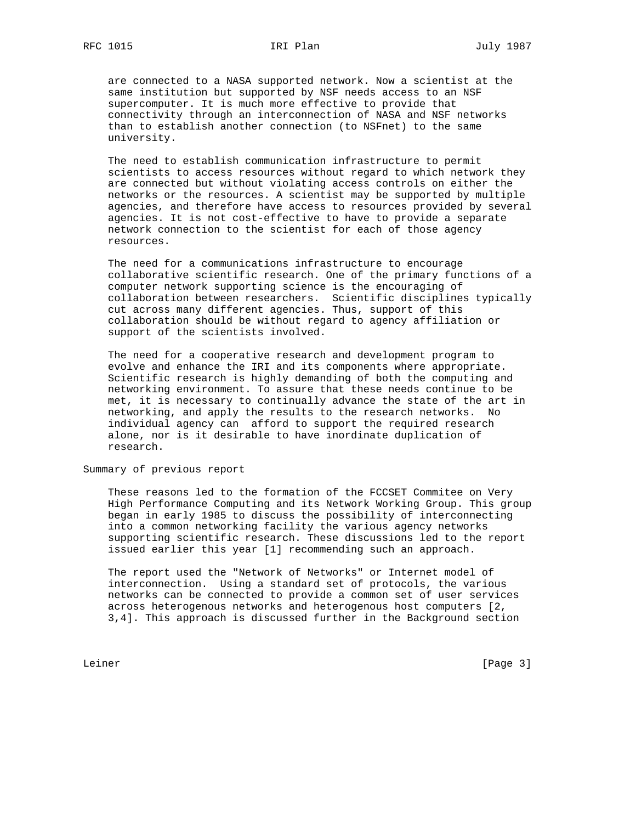are connected to a NASA supported network. Now a scientist at the same institution but supported by NSF needs access to an NSF supercomputer. It is much more effective to provide that connectivity through an interconnection of NASA and NSF networks than to establish another connection (to NSFnet) to the same university.

 The need to establish communication infrastructure to permit scientists to access resources without regard to which network they are connected but without violating access controls on either the networks or the resources. A scientist may be supported by multiple agencies, and therefore have access to resources provided by several agencies. It is not cost-effective to have to provide a separate network connection to the scientist for each of those agency resources.

 The need for a communications infrastructure to encourage collaborative scientific research. One of the primary functions of a computer network supporting science is the encouraging of collaboration between researchers. Scientific disciplines typically cut across many different agencies. Thus, support of this collaboration should be without regard to agency affiliation or support of the scientists involved.

 The need for a cooperative research and development program to evolve and enhance the IRI and its components where appropriate. Scientific research is highly demanding of both the computing and networking environment. To assure that these needs continue to be met, it is necessary to continually advance the state of the art in networking, and apply the results to the research networks. No individual agency can afford to support the required research alone, nor is it desirable to have inordinate duplication of research.

Summary of previous report

 These reasons led to the formation of the FCCSET Commitee on Very High Performance Computing and its Network Working Group. This group began in early 1985 to discuss the possibility of interconnecting into a common networking facility the various agency networks supporting scientific research. These discussions led to the report issued earlier this year [1] recommending such an approach.

 The report used the "Network of Networks" or Internet model of interconnection. Using a standard set of protocols, the various networks can be connected to provide a common set of user services across heterogenous networks and heterogenous host computers [2, 3,4]. This approach is discussed further in the Background section

Leiner [Page 3]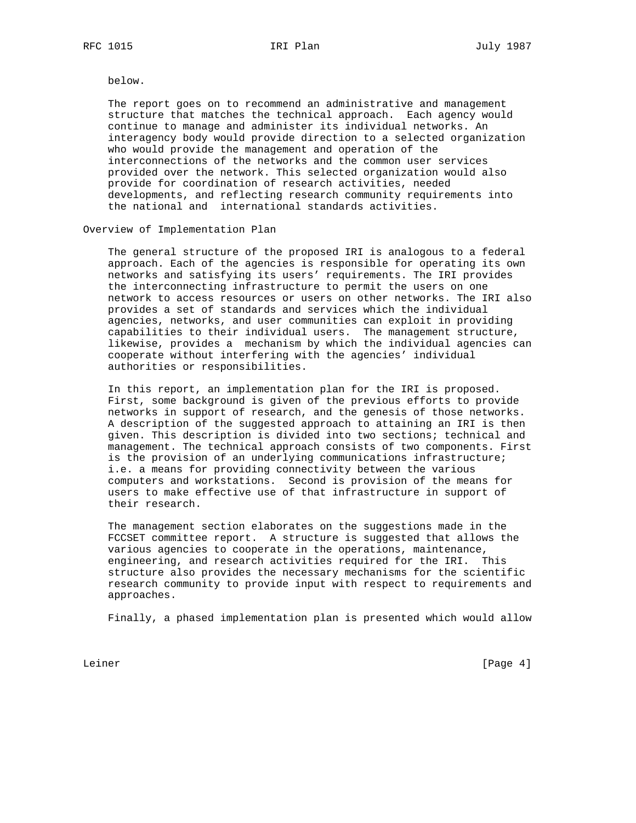below.

 The report goes on to recommend an administrative and management structure that matches the technical approach. Each agency would continue to manage and administer its individual networks. An interagency body would provide direction to a selected organization who would provide the management and operation of the interconnections of the networks and the common user services provided over the network. This selected organization would also provide for coordination of research activities, needed developments, and reflecting research community requirements into the national and international standards activities.

Overview of Implementation Plan

 The general structure of the proposed IRI is analogous to a federal approach. Each of the agencies is responsible for operating its own networks and satisfying its users' requirements. The IRI provides the interconnecting infrastructure to permit the users on one network to access resources or users on other networks. The IRI also provides a set of standards and services which the individual agencies, networks, and user communities can exploit in providing capabilities to their individual users. The management structure, likewise, provides a mechanism by which the individual agencies can cooperate without interfering with the agencies' individual authorities or responsibilities.

 In this report, an implementation plan for the IRI is proposed. First, some background is given of the previous efforts to provide networks in support of research, and the genesis of those networks. A description of the suggested approach to attaining an IRI is then given. This description is divided into two sections; technical and management. The technical approach consists of two components. First is the provision of an underlying communications infrastructure; i.e. a means for providing connectivity between the various computers and workstations. Second is provision of the means for users to make effective use of that infrastructure in support of their research.

 The management section elaborates on the suggestions made in the FCCSET committee report. A structure is suggested that allows the various agencies to cooperate in the operations, maintenance, engineering, and research activities required for the IRI. This structure also provides the necessary mechanisms for the scientific research community to provide input with respect to requirements and approaches.

Finally, a phased implementation plan is presented which would allow

Leiner [Page 4]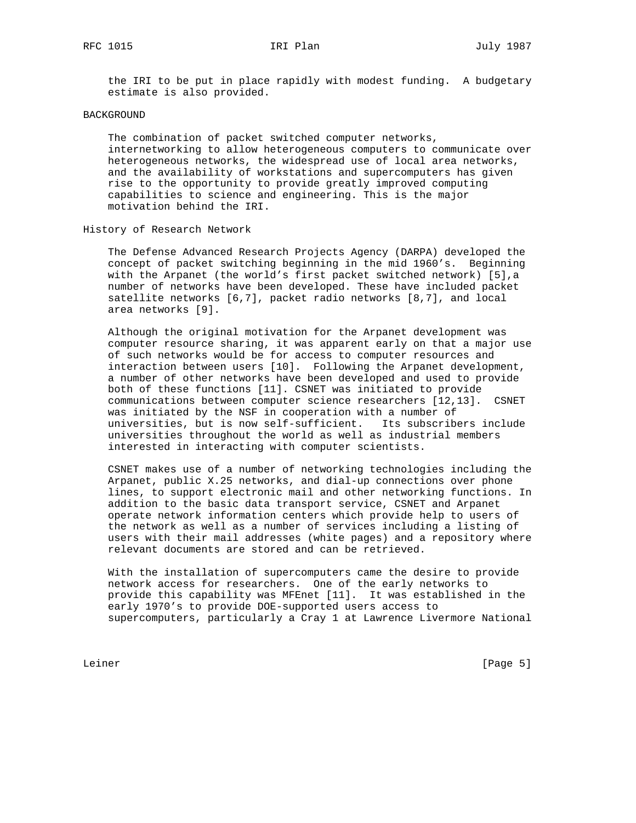the IRI to be put in place rapidly with modest funding. A budgetary estimate is also provided.

### BACKGROUND

 The combination of packet switched computer networks, internetworking to allow heterogeneous computers to communicate over heterogeneous networks, the widespread use of local area networks, and the availability of workstations and supercomputers has given rise to the opportunity to provide greatly improved computing capabilities to science and engineering. This is the major motivation behind the IRI.

# History of Research Network

 The Defense Advanced Research Projects Agency (DARPA) developed the concept of packet switching beginning in the mid 1960's. Beginning with the Arpanet (the world's first packet switched network) [5],a number of networks have been developed. These have included packet satellite networks [6,7], packet radio networks [8,7], and local area networks [9].

 Although the original motivation for the Arpanet development was computer resource sharing, it was apparent early on that a major use of such networks would be for access to computer resources and interaction between users [10]. Following the Arpanet development, a number of other networks have been developed and used to provide both of these functions [11]. CSNET was initiated to provide communications between computer science researchers [12,13]. CSNET was initiated by the NSF in cooperation with a number of universities, but is now self-sufficient. Its subscribers include universities throughout the world as well as industrial members interested in interacting with computer scientists.

 CSNET makes use of a number of networking technologies including the Arpanet, public X.25 networks, and dial-up connections over phone lines, to support electronic mail and other networking functions. In addition to the basic data transport service, CSNET and Arpanet operate network information centers which provide help to users of the network as well as a number of services including a listing of users with their mail addresses (white pages) and a repository where relevant documents are stored and can be retrieved.

 With the installation of supercomputers came the desire to provide network access for researchers. One of the early networks to provide this capability was MFEnet [11]. It was established in the early 1970's to provide DOE-supported users access to supercomputers, particularly a Cray 1 at Lawrence Livermore National

Leiner [Page 5]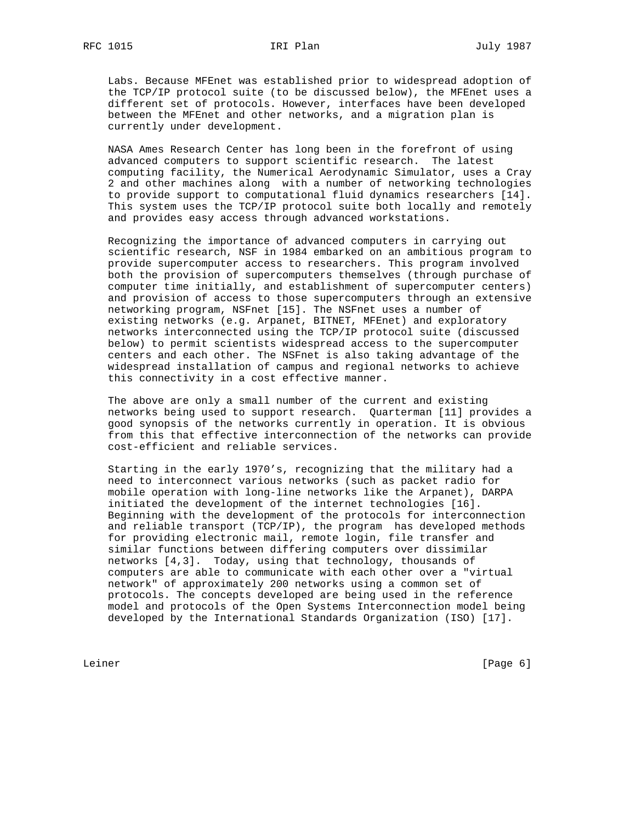Labs. Because MFEnet was established prior to widespread adoption of the TCP/IP protocol suite (to be discussed below), the MFEnet uses a different set of protocols. However, interfaces have been developed between the MFEnet and other networks, and a migration plan is currently under development.

 NASA Ames Research Center has long been in the forefront of using advanced computers to support scientific research. The latest computing facility, the Numerical Aerodynamic Simulator, uses a Cray 2 and other machines along with a number of networking technologies to provide support to computational fluid dynamics researchers [14]. This system uses the TCP/IP protocol suite both locally and remotely and provides easy access through advanced workstations.

 Recognizing the importance of advanced computers in carrying out scientific research, NSF in 1984 embarked on an ambitious program to provide supercomputer access to researchers. This program involved both the provision of supercomputers themselves (through purchase of computer time initially, and establishment of supercomputer centers) and provision of access to those supercomputers through an extensive networking program, NSFnet [15]. The NSFnet uses a number of existing networks (e.g. Arpanet, BITNET, MFEnet) and exploratory networks interconnected using the TCP/IP protocol suite (discussed below) to permit scientists widespread access to the supercomputer centers and each other. The NSFnet is also taking advantage of the widespread installation of campus and regional networks to achieve this connectivity in a cost effective manner.

 The above are only a small number of the current and existing networks being used to support research. Quarterman [11] provides a good synopsis of the networks currently in operation. It is obvious from this that effective interconnection of the networks can provide cost-efficient and reliable services.

 Starting in the early 1970's, recognizing that the military had a need to interconnect various networks (such as packet radio for mobile operation with long-line networks like the Arpanet), DARPA initiated the development of the internet technologies [16]. Beginning with the development of the protocols for interconnection and reliable transport (TCP/IP), the program has developed methods for providing electronic mail, remote login, file transfer and similar functions between differing computers over dissimilar networks [4,3]. Today, using that technology, thousands of computers are able to communicate with each other over a "virtual network" of approximately 200 networks using a common set of protocols. The concepts developed are being used in the reference model and protocols of the Open Systems Interconnection model being developed by the International Standards Organization (ISO) [17].

Leiner [Page 6]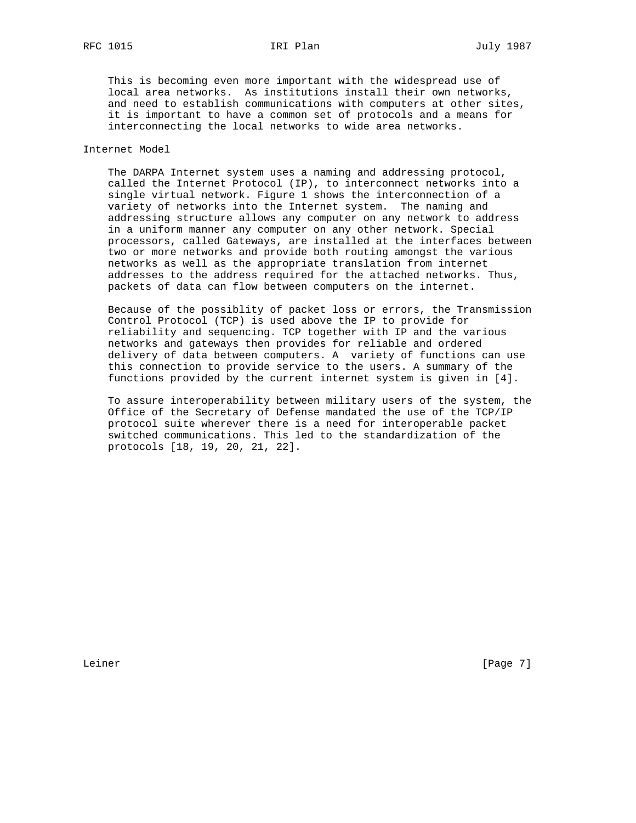This is becoming even more important with the widespread use of local area networks. As institutions install their own networks, and need to establish communications with computers at other sites, it is important to have a common set of protocols and a means for interconnecting the local networks to wide area networks.

# Internet Model

 The DARPA Internet system uses a naming and addressing protocol, called the Internet Protocol (IP), to interconnect networks into a single virtual network. Figure 1 shows the interconnection of a variety of networks into the Internet system. The naming and addressing structure allows any computer on any network to address in a uniform manner any computer on any other network. Special processors, called Gateways, are installed at the interfaces between two or more networks and provide both routing amongst the various networks as well as the appropriate translation from internet addresses to the address required for the attached networks. Thus, packets of data can flow between computers on the internet.

 Because of the possiblity of packet loss or errors, the Transmission Control Protocol (TCP) is used above the IP to provide for reliability and sequencing. TCP together with IP and the various networks and gateways then provides for reliable and ordered delivery of data between computers. A variety of functions can use this connection to provide service to the users. A summary of the functions provided by the current internet system is given in [4].

 To assure interoperability between military users of the system, the Office of the Secretary of Defense mandated the use of the TCP/IP protocol suite wherever there is a need for interoperable packet switched communications. This led to the standardization of the protocols [18, 19, 20, 21, 22].

Leiner [Page 7]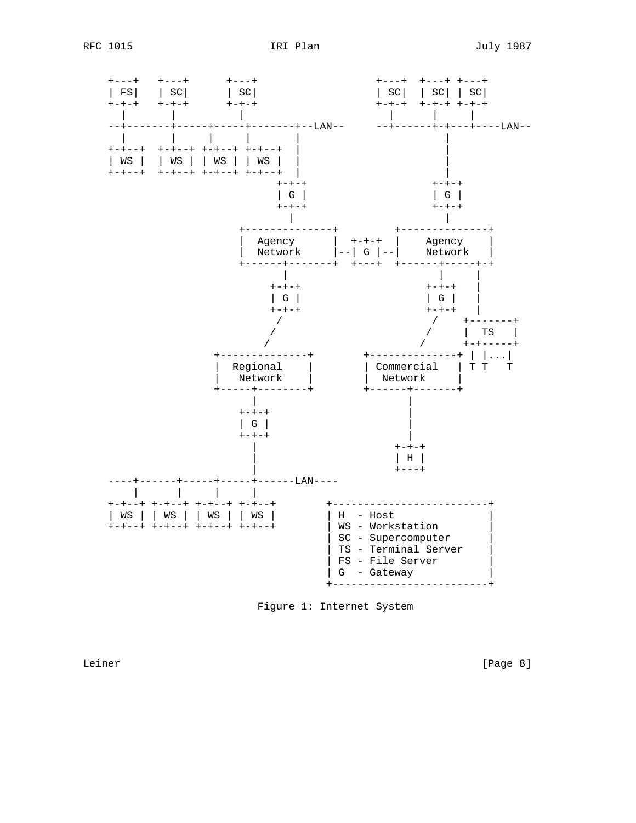





Leiner

[Page 8]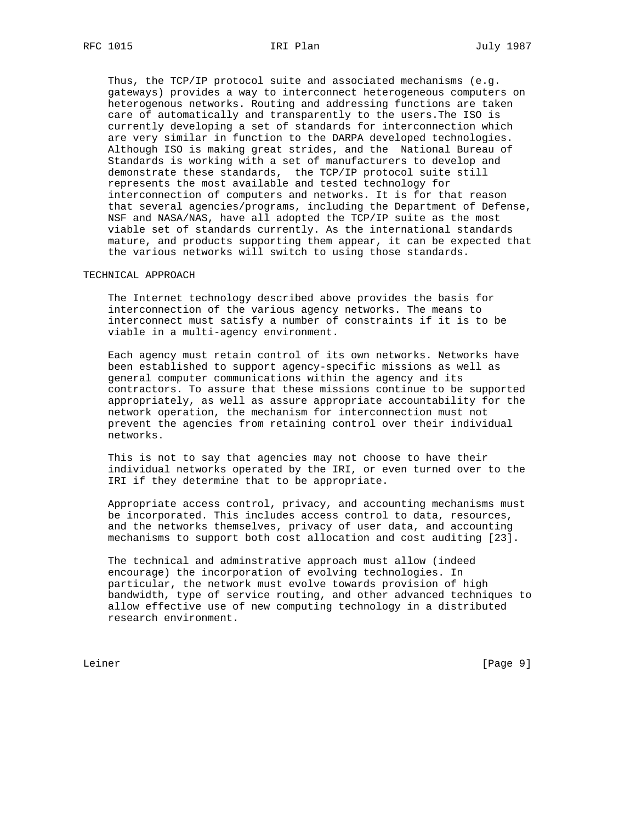Thus, the TCP/IP protocol suite and associated mechanisms (e.g. gateways) provides a way to interconnect heterogeneous computers on heterogenous networks. Routing and addressing functions are taken care of automatically and transparently to the users.The ISO is currently developing a set of standards for interconnection which are very similar in function to the DARPA developed technologies. Although ISO is making great strides, and the National Bureau of Standards is working with a set of manufacturers to develop and demonstrate these standards, the TCP/IP protocol suite still represents the most available and tested technology for interconnection of computers and networks. It is for that reason that several agencies/programs, including the Department of Defense, NSF and NASA/NAS, have all adopted the TCP/IP suite as the most viable set of standards currently. As the international standards mature, and products supporting them appear, it can be expected that the various networks will switch to using those standards.

# TECHNICAL APPROACH

 The Internet technology described above provides the basis for interconnection of the various agency networks. The means to interconnect must satisfy a number of constraints if it is to be viable in a multi-agency environment.

 Each agency must retain control of its own networks. Networks have been established to support agency-specific missions as well as general computer communications within the agency and its contractors. To assure that these missions continue to be supported appropriately, as well as assure appropriate accountability for the network operation, the mechanism for interconnection must not prevent the agencies from retaining control over their individual networks.

 This is not to say that agencies may not choose to have their individual networks operated by the IRI, or even turned over to the IRI if they determine that to be appropriate.

 Appropriate access control, privacy, and accounting mechanisms must be incorporated. This includes access control to data, resources, and the networks themselves, privacy of user data, and accounting mechanisms to support both cost allocation and cost auditing [23].

 The technical and adminstrative approach must allow (indeed encourage) the incorporation of evolving technologies. In particular, the network must evolve towards provision of high bandwidth, type of service routing, and other advanced techniques to allow effective use of new computing technology in a distributed research environment.

Leiner [Page 9]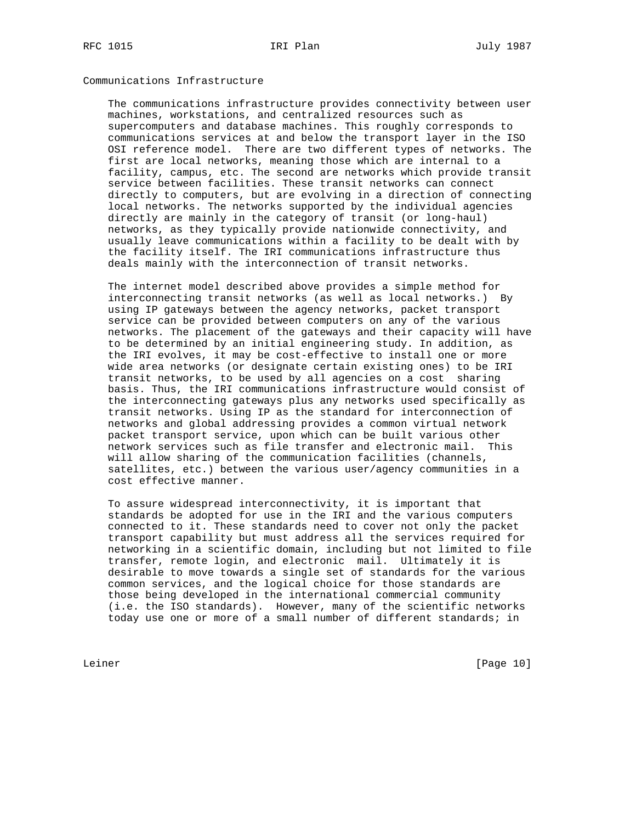# Communications Infrastructure

 The communications infrastructure provides connectivity between user machines, workstations, and centralized resources such as supercomputers and database machines. This roughly corresponds to communications services at and below the transport layer in the ISO OSI reference model. There are two different types of networks. The first are local networks, meaning those which are internal to a facility, campus, etc. The second are networks which provide transit service between facilities. These transit networks can connect directly to computers, but are evolving in a direction of connecting local networks. The networks supported by the individual agencies directly are mainly in the category of transit (or long-haul) networks, as they typically provide nationwide connectivity, and usually leave communications within a facility to be dealt with by the facility itself. The IRI communications infrastructure thus deals mainly with the interconnection of transit networks.

 The internet model described above provides a simple method for interconnecting transit networks (as well as local networks.) By using IP gateways between the agency networks, packet transport service can be provided between computers on any of the various networks. The placement of the gateways and their capacity will have to be determined by an initial engineering study. In addition, as the IRI evolves, it may be cost-effective to install one or more wide area networks (or designate certain existing ones) to be IRI transit networks, to be used by all agencies on a cost sharing basis. Thus, the IRI communications infrastructure would consist of the interconnecting gateways plus any networks used specifically as transit networks. Using IP as the standard for interconnection of networks and global addressing provides a common virtual network packet transport service, upon which can be built various other network services such as file transfer and electronic mail. This will allow sharing of the communication facilities (channels, satellites, etc.) between the various user/agency communities in a cost effective manner.

 To assure widespread interconnectivity, it is important that standards be adopted for use in the IRI and the various computers connected to it. These standards need to cover not only the packet transport capability but must address all the services required for networking in a scientific domain, including but not limited to file transfer, remote login, and electronic mail. Ultimately it is desirable to move towards a single set of standards for the various common services, and the logical choice for those standards are those being developed in the international commercial community (i.e. the ISO standards). However, many of the scientific networks today use one or more of a small number of different standards; in

Leiner [Page 10]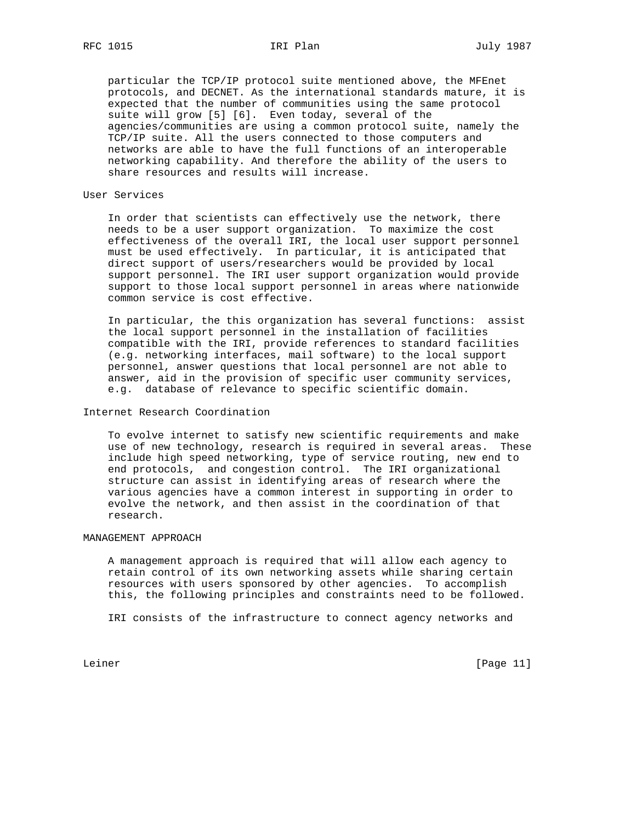particular the TCP/IP protocol suite mentioned above, the MFEnet protocols, and DECNET. As the international standards mature, it is expected that the number of communities using the same protocol suite will grow [5] [6]. Even today, several of the agencies/communities are using a common protocol suite, namely the TCP/IP suite. All the users connected to those computers and networks are able to have the full functions of an interoperable networking capability. And therefore the ability of the users to share resources and results will increase.

### User Services

 In order that scientists can effectively use the network, there needs to be a user support organization. To maximize the cost effectiveness of the overall IRI, the local user support personnel must be used effectively. In particular, it is anticipated that direct support of users/researchers would be provided by local support personnel. The IRI user support organization would provide support to those local support personnel in areas where nationwide common service is cost effective.

 In particular, the this organization has several functions: assist the local support personnel in the installation of facilities compatible with the IRI, provide references to standard facilities (e.g. networking interfaces, mail software) to the local support personnel, answer questions that local personnel are not able to answer, aid in the provision of specific user community services, e.g. database of relevance to specific scientific domain.

# Internet Research Coordination

 To evolve internet to satisfy new scientific requirements and make use of new technology, research is required in several areas. These include high speed networking, type of service routing, new end to end protocols, and congestion control. The IRI organizational structure can assist in identifying areas of research where the various agencies have a common interest in supporting in order to evolve the network, and then assist in the coordination of that research.

# MANAGEMENT APPROACH

 A management approach is required that will allow each agency to retain control of its own networking assets while sharing certain resources with users sponsored by other agencies. To accomplish this, the following principles and constraints need to be followed.

IRI consists of the infrastructure to connect agency networks and

Leiner [Page 11]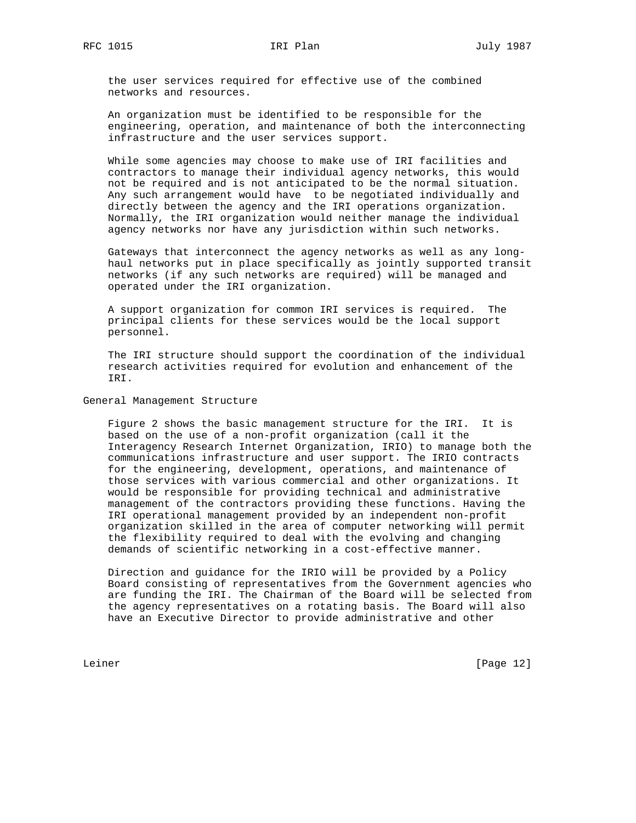the user services required for effective use of the combined networks and resources.

 An organization must be identified to be responsible for the engineering, operation, and maintenance of both the interconnecting infrastructure and the user services support.

 While some agencies may choose to make use of IRI facilities and contractors to manage their individual agency networks, this would not be required and is not anticipated to be the normal situation. Any such arrangement would have to be negotiated individually and directly between the agency and the IRI operations organization. Normally, the IRI organization would neither manage the individual agency networks nor have any jurisdiction within such networks.

 Gateways that interconnect the agency networks as well as any long haul networks put in place specifically as jointly supported transit networks (if any such networks are required) will be managed and operated under the IRI organization.

 A support organization for common IRI services is required. The principal clients for these services would be the local support personnel.

 The IRI structure should support the coordination of the individual research activities required for evolution and enhancement of the IRI.

General Management Structure

 Figure 2 shows the basic management structure for the IRI. It is based on the use of a non-profit organization (call it the Interagency Research Internet Organization, IRIO) to manage both the communications infrastructure and user support. The IRIO contracts for the engineering, development, operations, and maintenance of those services with various commercial and other organizations. It would be responsible for providing technical and administrative management of the contractors providing these functions. Having the IRI operational management provided by an independent non-profit organization skilled in the area of computer networking will permit the flexibility required to deal with the evolving and changing demands of scientific networking in a cost-effective manner.

 Direction and guidance for the IRIO will be provided by a Policy Board consisting of representatives from the Government agencies who are funding the IRI. The Chairman of the Board will be selected from the agency representatives on a rotating basis. The Board will also have an Executive Director to provide administrative and other

Leiner [Page 12]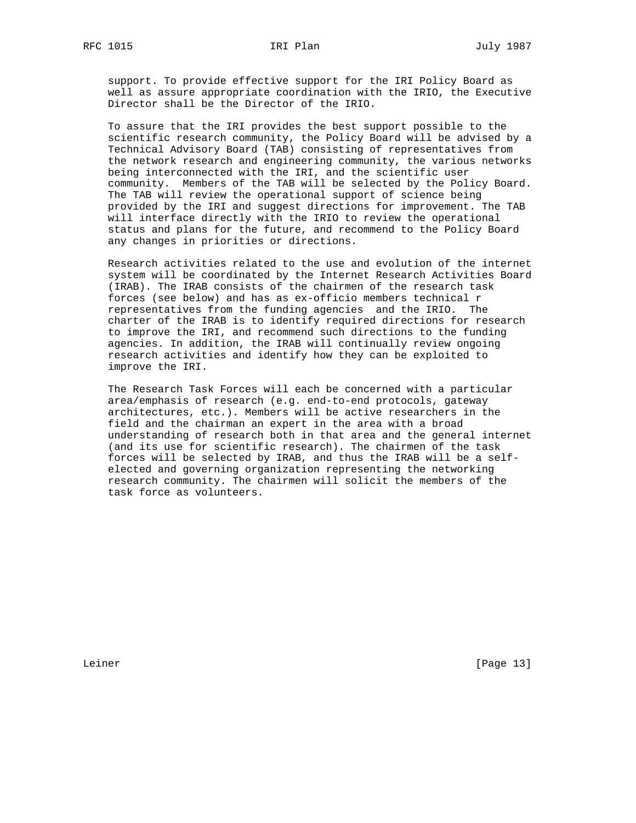support. To provide effective support for the IRI Policy Board as well as assure appropriate coordination with the IRIO, the Executive Director shall be the Director of the IRIO.

 To assure that the IRI provides the best support possible to the scientific research community, the Policy Board will be advised by a Technical Advisory Board (TAB) consisting of representatives from the network research and engineering community, the various networks being interconnected with the IRI, and the scientific user community. Members of the TAB will be selected by the Policy Board. The TAB will review the operational support of science being provided by the IRI and suggest directions for improvement. The TAB will interface directly with the IRIO to review the operational status and plans for the future, and recommend to the Policy Board any changes in priorities or directions.

 Research activities related to the use and evolution of the internet system will be coordinated by the Internet Research Activities Board (IRAB). The IRAB consists of the chairmen of the research task forces (see below) and has as ex-officio members technical r representatives from the funding agencies and the IRIO. The charter of the IRAB is to identify required directions for research to improve the IRI, and recommend such directions to the funding agencies. In addition, the IRAB will continually review ongoing research activities and identify how they can be exploited to improve the IRI.

 The Research Task Forces will each be concerned with a particular area/emphasis of research (e.g. end-to-end protocols, gateway architectures, etc.). Members will be active researchers in the field and the chairman an expert in the area with a broad understanding of research both in that area and the general internet (and its use for scientific research). The chairmen of the task forces will be selected by IRAB, and thus the IRAB will be a self elected and governing organization representing the networking research community. The chairmen will solicit the members of the task force as volunteers.

Leiner [Page 13]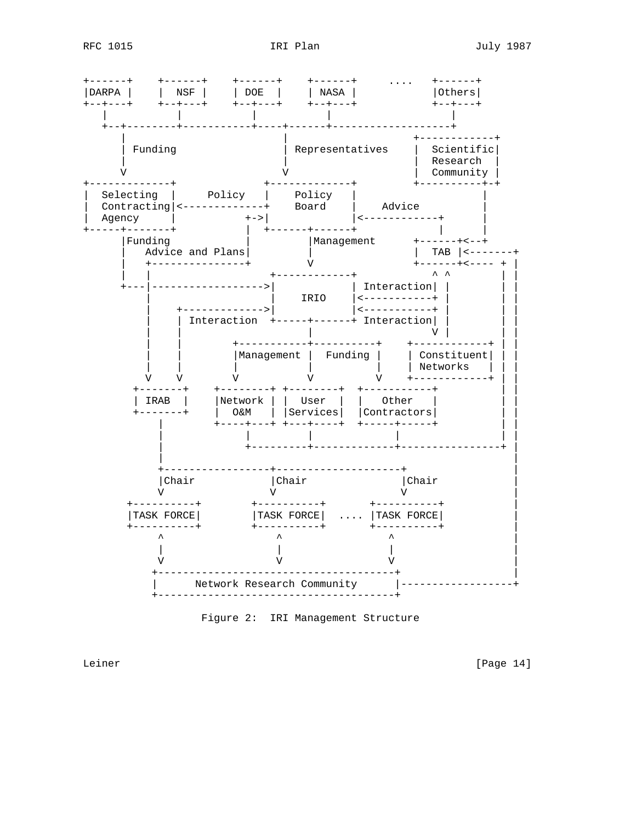

Figure 2: IRI Management Structure

Leiner

[Page 14]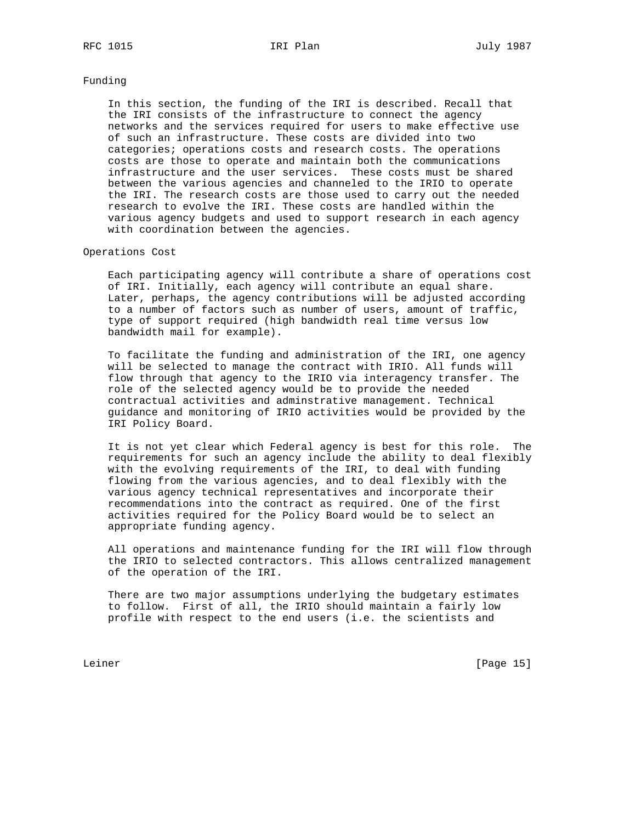# Funding

 In this section, the funding of the IRI is described. Recall that the IRI consists of the infrastructure to connect the agency networks and the services required for users to make effective use of such an infrastructure. These costs are divided into two categories; operations costs and research costs. The operations costs are those to operate and maintain both the communications infrastructure and the user services. These costs must be shared between the various agencies and channeled to the IRIO to operate the IRI. The research costs are those used to carry out the needed research to evolve the IRI. These costs are handled within the various agency budgets and used to support research in each agency with coordination between the agencies.

# Operations Cost

 Each participating agency will contribute a share of operations cost of IRI. Initially, each agency will contribute an equal share. Later, perhaps, the agency contributions will be adjusted according to a number of factors such as number of users, amount of traffic, type of support required (high bandwidth real time versus low bandwidth mail for example).

 To facilitate the funding and administration of the IRI, one agency will be selected to manage the contract with IRIO. All funds will flow through that agency to the IRIO via interagency transfer. The role of the selected agency would be to provide the needed contractual activities and adminstrative management. Technical guidance and monitoring of IRIO activities would be provided by the IRI Policy Board.

 It is not yet clear which Federal agency is best for this role. The requirements for such an agency include the ability to deal flexibly with the evolving requirements of the IRI, to deal with funding flowing from the various agencies, and to deal flexibly with the various agency technical representatives and incorporate their recommendations into the contract as required. One of the first activities required for the Policy Board would be to select an appropriate funding agency.

 All operations and maintenance funding for the IRI will flow through the IRIO to selected contractors. This allows centralized management of the operation of the IRI.

 There are two major assumptions underlying the budgetary estimates to follow. First of all, the IRIO should maintain a fairly low profile with respect to the end users (i.e. the scientists and

Leiner [Page 15]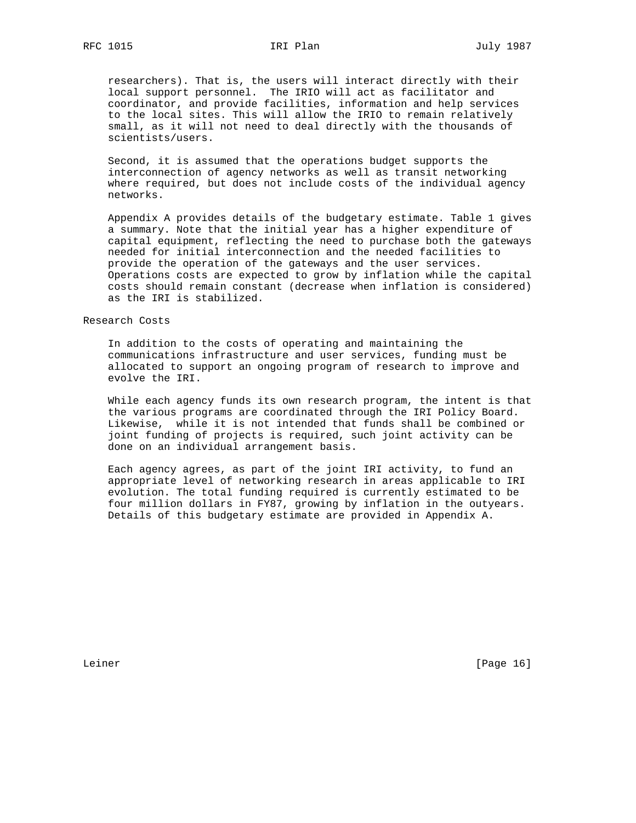researchers). That is, the users will interact directly with their local support personnel. The IRIO will act as facilitator and coordinator, and provide facilities, information and help services to the local sites. This will allow the IRIO to remain relatively small, as it will not need to deal directly with the thousands of scientists/users.

 Second, it is assumed that the operations budget supports the interconnection of agency networks as well as transit networking where required, but does not include costs of the individual agency networks.

 Appendix A provides details of the budgetary estimate. Table 1 gives a summary. Note that the initial year has a higher expenditure of capital equipment, reflecting the need to purchase both the gateways needed for initial interconnection and the needed facilities to provide the operation of the gateways and the user services. Operations costs are expected to grow by inflation while the capital costs should remain constant (decrease when inflation is considered) as the IRI is stabilized.

# Research Costs

 In addition to the costs of operating and maintaining the communications infrastructure and user services, funding must be allocated to support an ongoing program of research to improve and evolve the IRI.

 While each agency funds its own research program, the intent is that the various programs are coordinated through the IRI Policy Board. Likewise, while it is not intended that funds shall be combined or joint funding of projects is required, such joint activity can be done on an individual arrangement basis.

 Each agency agrees, as part of the joint IRI activity, to fund an appropriate level of networking research in areas applicable to IRI evolution. The total funding required is currently estimated to be four million dollars in FY87, growing by inflation in the outyears. Details of this budgetary estimate are provided in Appendix A.

Leiner [Page 16]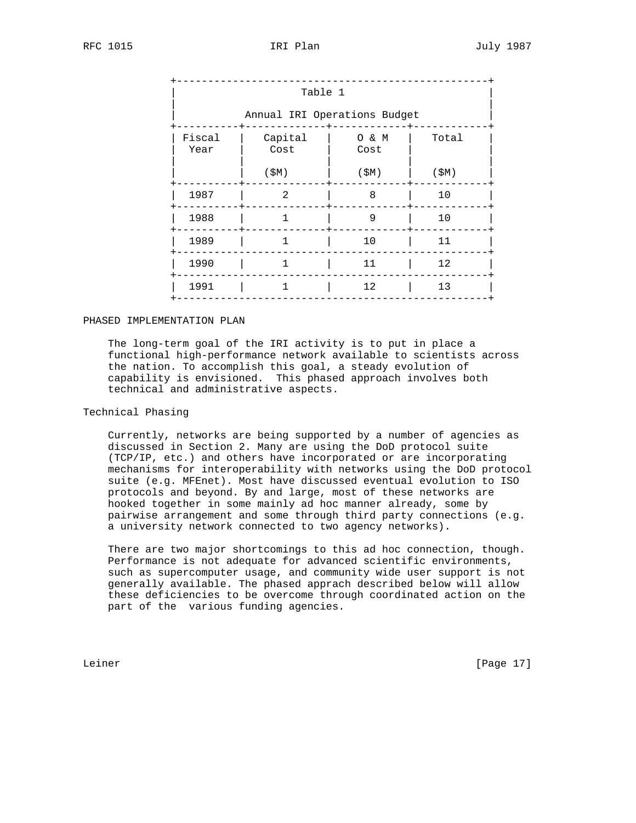|                | Table 1                      |               |       |  |
|----------------|------------------------------|---------------|-------|--|
|                | Annual IRI Operations Budget |               |       |  |
| Fiscal<br>Year | Capital<br>Cost              | O & M<br>Cost | Total |  |
|                | (SM)                         | (SM)          | (SM)  |  |
| 1987           | 2                            | 8             | 10    |  |
| 1988           | $\mathbf{1}$                 | 9             | 10    |  |
| 1989           | $\mathbf{1}$                 | 10            | 11    |  |
| 1990           | $\mathbf{1}$                 | 11            | 12    |  |
| 1991           | $\mathbf{1}$                 | 12            | 13    |  |

# PHASED IMPLEMENTATION PLAN

 The long-term goal of the IRI activity is to put in place a functional high-performance network available to scientists across the nation. To accomplish this goal, a steady evolution of capability is envisioned. This phased approach involves both technical and administrative aspects.

# Technical Phasing

 Currently, networks are being supported by a number of agencies as discussed in Section 2. Many are using the DoD protocol suite (TCP/IP, etc.) and others have incorporated or are incorporating mechanisms for interoperability with networks using the DoD protocol suite (e.g. MFEnet). Most have discussed eventual evolution to ISO protocols and beyond. By and large, most of these networks are hooked together in some mainly ad hoc manner already, some by pairwise arrangement and some through third party connections (e.g. a university network connected to two agency networks).

 There are two major shortcomings to this ad hoc connection, though. Performance is not adequate for advanced scientific environments, such as supercomputer usage, and community wide user support is not generally available. The phased apprach described below will allow these deficiencies to be overcome through coordinated action on the part of the various funding agencies.

Leiner [Page 17]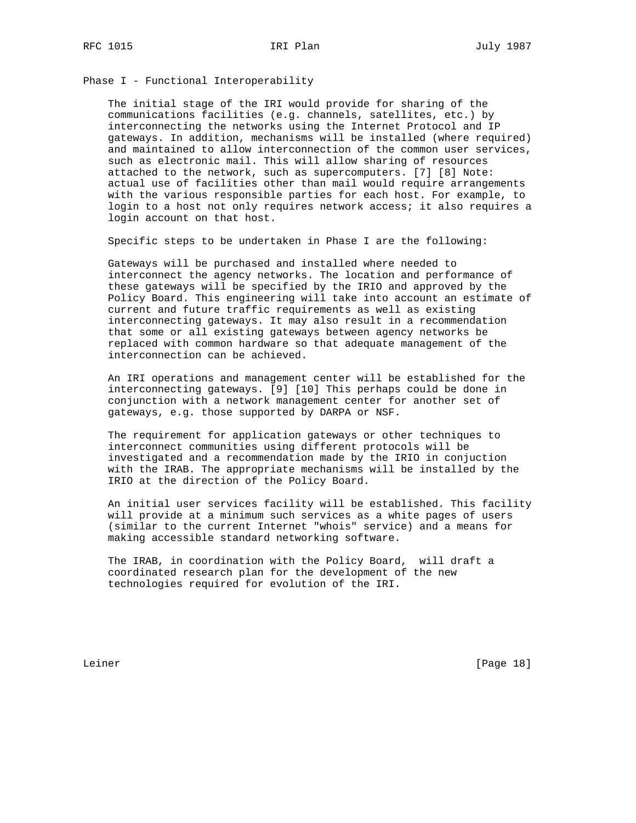Phase I - Functional Interoperability

 The initial stage of the IRI would provide for sharing of the communications facilities (e.g. channels, satellites, etc.) by interconnecting the networks using the Internet Protocol and IP gateways. In addition, mechanisms will be installed (where required) and maintained to allow interconnection of the common user services, such as electronic mail. This will allow sharing of resources attached to the network, such as supercomputers. [7] [8] Note: actual use of facilities other than mail would require arrangements with the various responsible parties for each host. For example, to login to a host not only requires network access; it also requires a login account on that host.

Specific steps to be undertaken in Phase I are the following:

 Gateways will be purchased and installed where needed to interconnect the agency networks. The location and performance of these gateways will be specified by the IRIO and approved by the Policy Board. This engineering will take into account an estimate of current and future traffic requirements as well as existing interconnecting gateways. It may also result in a recommendation that some or all existing gateways between agency networks be replaced with common hardware so that adequate management of the interconnection can be achieved.

 An IRI operations and management center will be established for the interconnecting gateways. [9] [10] This perhaps could be done in conjunction with a network management center for another set of gateways, e.g. those supported by DARPA or NSF.

 The requirement for application gateways or other techniques to interconnect communities using different protocols will be investigated and a recommendation made by the IRIO in conjuction with the IRAB. The appropriate mechanisms will be installed by the IRIO at the direction of the Policy Board.

 An initial user services facility will be established. This facility will provide at a minimum such services as a white pages of users (similar to the current Internet "whois" service) and a means for making accessible standard networking software.

 The IRAB, in coordination with the Policy Board, will draft a coordinated research plan for the development of the new technologies required for evolution of the IRI.

Leiner [Page 18]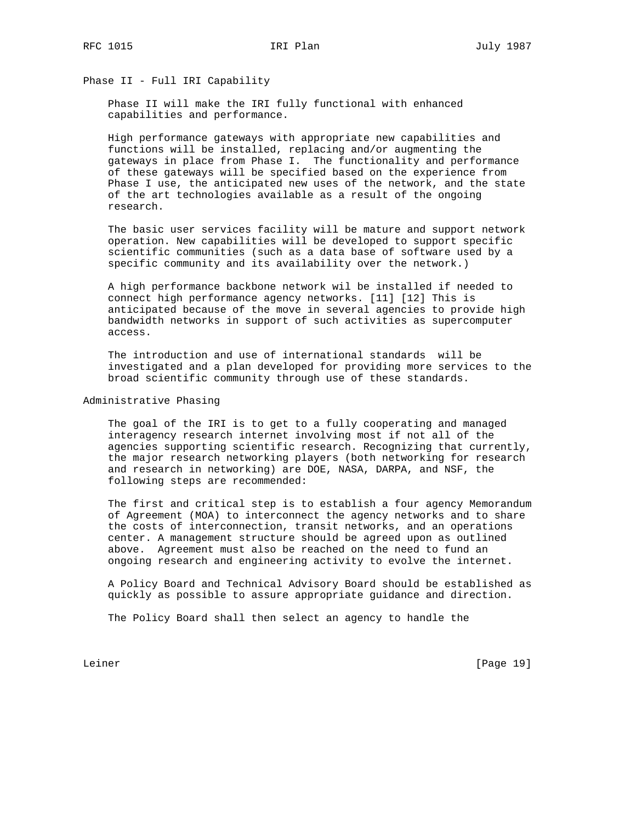Phase II - Full IRI Capability

 Phase II will make the IRI fully functional with enhanced capabilities and performance.

 High performance gateways with appropriate new capabilities and functions will be installed, replacing and/or augmenting the gateways in place from Phase I. The functionality and performance of these gateways will be specified based on the experience from Phase I use, the anticipated new uses of the network, and the state of the art technologies available as a result of the ongoing research.

 The basic user services facility will be mature and support network operation. New capabilities will be developed to support specific scientific communities (such as a data base of software used by a specific community and its availability over the network.)

 A high performance backbone network wil be installed if needed to connect high performance agency networks. [11] [12] This is anticipated because of the move in several agencies to provide high bandwidth networks in support of such activities as supercomputer access.

 The introduction and use of international standards will be investigated and a plan developed for providing more services to the broad scientific community through use of these standards.

Administrative Phasing

 The goal of the IRI is to get to a fully cooperating and managed interagency research internet involving most if not all of the agencies supporting scientific research. Recognizing that currently, the major research networking players (both networking for research and research in networking) are DOE, NASA, DARPA, and NSF, the following steps are recommended:

 The first and critical step is to establish a four agency Memorandum of Agreement (MOA) to interconnect the agency networks and to share the costs of interconnection, transit networks, and an operations center. A management structure should be agreed upon as outlined above. Agreement must also be reached on the need to fund an ongoing research and engineering activity to evolve the internet.

 A Policy Board and Technical Advisory Board should be established as quickly as possible to assure appropriate guidance and direction.

The Policy Board shall then select an agency to handle the

Leiner [Page 19]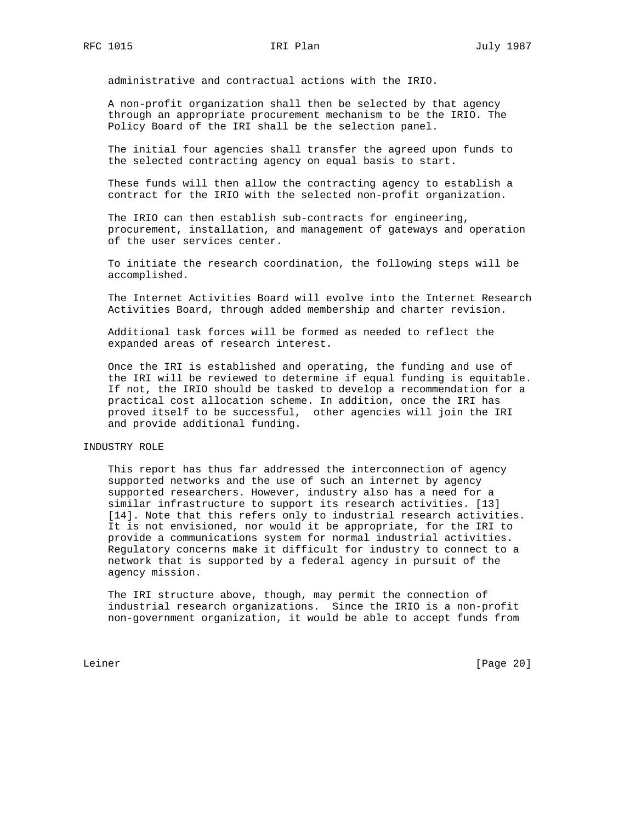administrative and contractual actions with the IRIO.

 A non-profit organization shall then be selected by that agency through an appropriate procurement mechanism to be the IRIO. The Policy Board of the IRI shall be the selection panel.

 The initial four agencies shall transfer the agreed upon funds to the selected contracting agency on equal basis to start.

 These funds will then allow the contracting agency to establish a contract for the IRIO with the selected non-profit organization.

 The IRIO can then establish sub-contracts for engineering, procurement, installation, and management of gateways and operation of the user services center.

 To initiate the research coordination, the following steps will be accomplished.

 The Internet Activities Board will evolve into the Internet Research Activities Board, through added membership and charter revision.

 Additional task forces will be formed as needed to reflect the expanded areas of research interest.

 Once the IRI is established and operating, the funding and use of the IRI will be reviewed to determine if equal funding is equitable. If not, the IRIO should be tasked to develop a recommendation for a practical cost allocation scheme. In addition, once the IRI has proved itself to be successful, other agencies will join the IRI and provide additional funding.

### INDUSTRY ROLE

 This report has thus far addressed the interconnection of agency supported networks and the use of such an internet by agency supported researchers. However, industry also has a need for a similar infrastructure to support its research activities. [13] [14]. Note that this refers only to industrial research activities. It is not envisioned, nor would it be appropriate, for the IRI to provide a communications system for normal industrial activities. Regulatory concerns make it difficult for industry to connect to a network that is supported by a federal agency in pursuit of the agency mission.

 The IRI structure above, though, may permit the connection of industrial research organizations. Since the IRIO is a non-profit non-government organization, it would be able to accept funds from

Leiner [Page 20]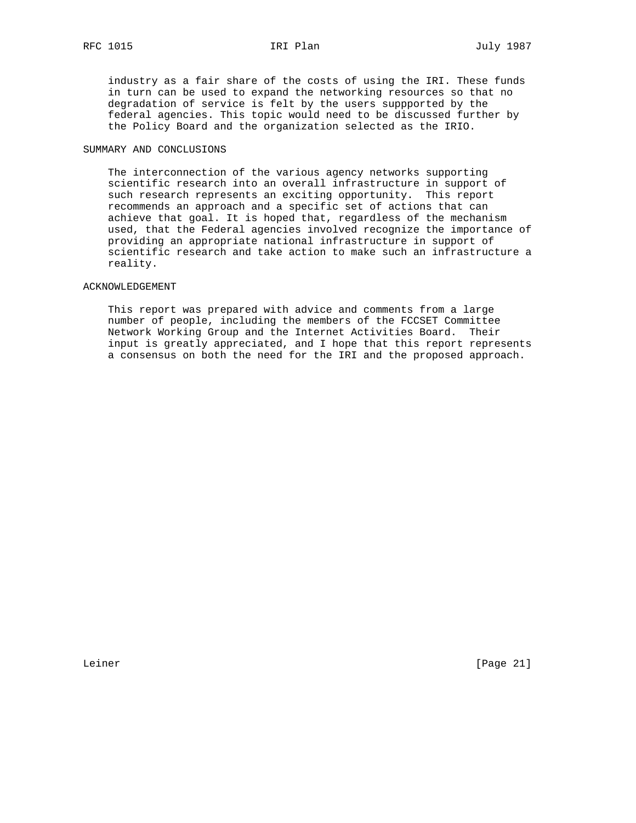industry as a fair share of the costs of using the IRI. These funds in turn can be used to expand the networking resources so that no degradation of service is felt by the users suppported by the federal agencies. This topic would need to be discussed further by the Policy Board and the organization selected as the IRIO.

# SUMMARY AND CONCLUSIONS

 The interconnection of the various agency networks supporting scientific research into an overall infrastructure in support of such research represents an exciting opportunity. This report recommends an approach and a specific set of actions that can achieve that goal. It is hoped that, regardless of the mechanism used, that the Federal agencies involved recognize the importance of providing an appropriate national infrastructure in support of scientific research and take action to make such an infrastructure a reality.

# ACKNOWLEDGEMENT

 This report was prepared with advice and comments from a large number of people, including the members of the FCCSET Committee Network Working Group and the Internet Activities Board. Their input is greatly appreciated, and I hope that this report represents a consensus on both the need for the IRI and the proposed approach.

Leiner [Page 21]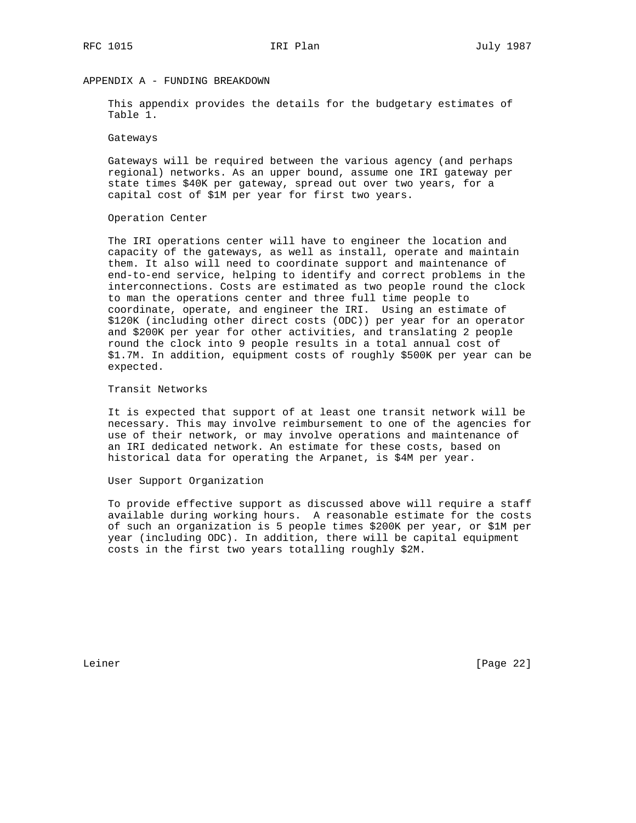# APPENDIX A - FUNDING BREAKDOWN

 This appendix provides the details for the budgetary estimates of Table 1.

### Gateways

 Gateways will be required between the various agency (and perhaps regional) networks. As an upper bound, assume one IRI gateway per state times \$40K per gateway, spread out over two years, for a capital cost of \$1M per year for first two years.

### Operation Center

 The IRI operations center will have to engineer the location and capacity of the gateways, as well as install, operate and maintain them. It also will need to coordinate support and maintenance of end-to-end service, helping to identify and correct problems in the interconnections. Costs are estimated as two people round the clock to man the operations center and three full time people to coordinate, operate, and engineer the IRI. Using an estimate of \$120K (including other direct costs (ODC)) per year for an operator and \$200K per year for other activities, and translating 2 people round the clock into 9 people results in a total annual cost of \$1.7M. In addition, equipment costs of roughly \$500K per year can be expected.

# Transit Networks

 It is expected that support of at least one transit network will be necessary. This may involve reimbursement to one of the agencies for use of their network, or may involve operations and maintenance of an IRI dedicated network. An estimate for these costs, based on historical data for operating the Arpanet, is \$4M per year.

# User Support Organization

 To provide effective support as discussed above will require a staff available during working hours. A reasonable estimate for the costs of such an organization is 5 people times \$200K per year, or \$1M per year (including ODC). In addition, there will be capital equipment costs in the first two years totalling roughly \$2M.

Leiner [Page 22]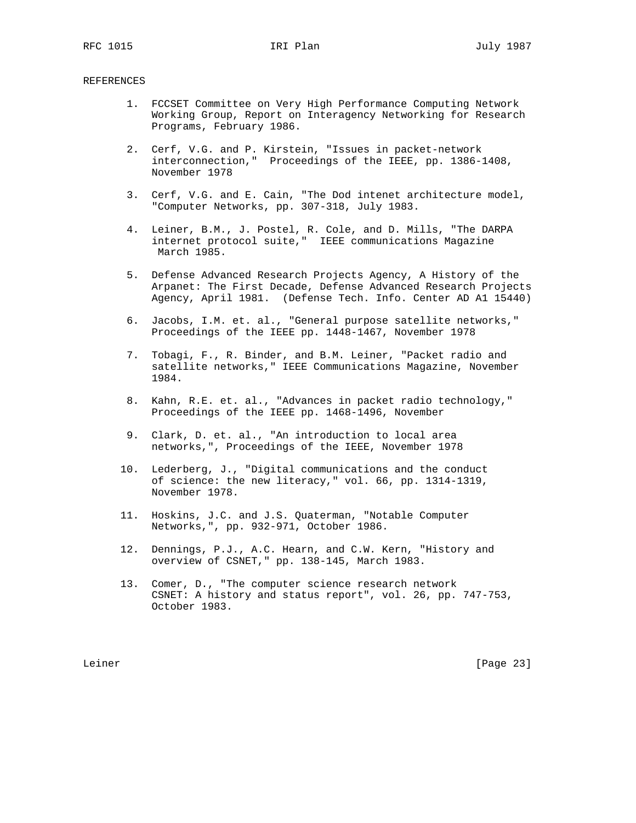# REFERENCES

- 1. FCCSET Committee on Very High Performance Computing Network Working Group, Report on Interagency Networking for Research Programs, February 1986.
- 2. Cerf, V.G. and P. Kirstein, "Issues in packet-network interconnection," Proceedings of the IEEE, pp. 1386-1408, November 1978
- 3. Cerf, V.G. and E. Cain, "The Dod intenet architecture model, "Computer Networks, pp. 307-318, July 1983.
- 4. Leiner, B.M., J. Postel, R. Cole, and D. Mills, "The DARPA internet protocol suite," IEEE communications Magazine March 1985.
- 5. Defense Advanced Research Projects Agency, A History of the Arpanet: The First Decade, Defense Advanced Research Projects Agency, April 1981. (Defense Tech. Info. Center AD A1 15440)
- 6. Jacobs, I.M. et. al., "General purpose satellite networks," Proceedings of the IEEE pp. 1448-1467, November 1978
- 7. Tobagi, F., R. Binder, and B.M. Leiner, "Packet radio and satellite networks," IEEE Communications Magazine, November 1984.
- 8. Kahn, R.E. et. al., "Advances in packet radio technology," Proceedings of the IEEE pp. 1468-1496, November
- 9. Clark, D. et. al., "An introduction to local area networks,", Proceedings of the IEEE, November 1978
- 10. Lederberg, J., "Digital communications and the conduct of science: the new literacy," vol. 66, pp. 1314-1319, November 1978.
- 11. Hoskins, J.C. and J.S. Quaterman, "Notable Computer Networks,", pp. 932-971, October 1986.
- 12. Dennings, P.J., A.C. Hearn, and C.W. Kern, "History and overview of CSNET," pp. 138-145, March 1983.
- 13. Comer, D., "The computer science research network CSNET: A history and status report", vol. 26, pp. 747-753, October 1983.

Leiner [Page 23]